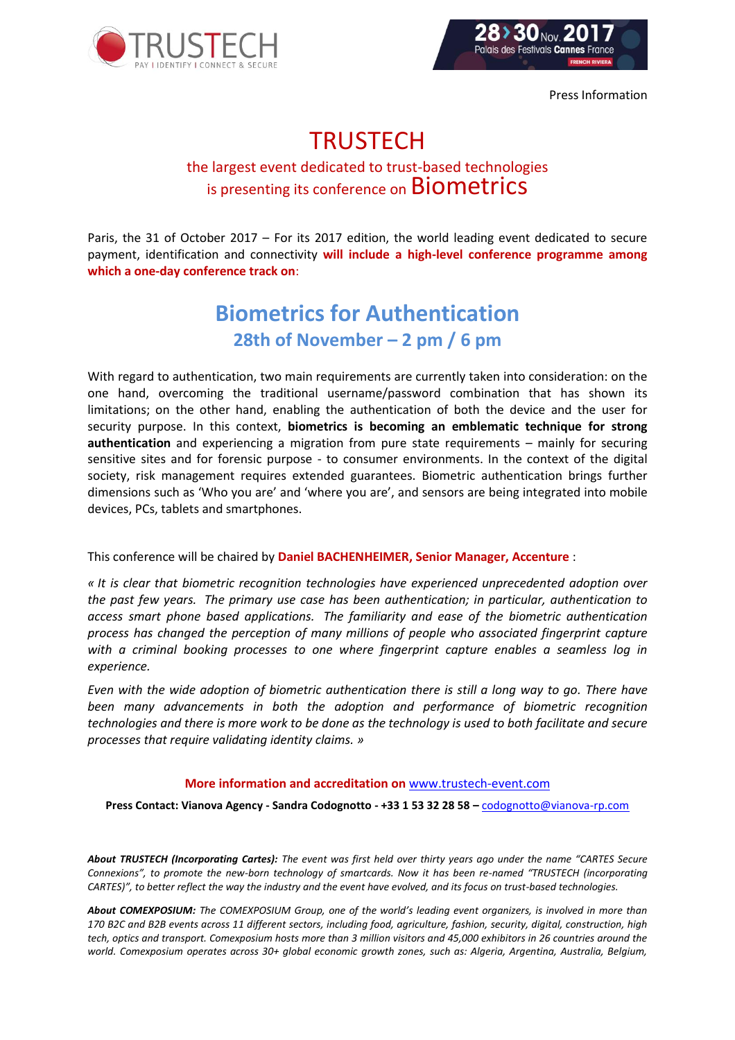

Press Information

## **TRUSTECH**

## the largest event dedicated to trust-based technologies is presenting its conference on **Biometrics**

Paris, the 31 of October 2017 – For its 2017 edition, the world leading event dedicated to secure payment, identification and connectivity **will include a high-level conference programme among which a one-day conference track on**:

## **Biometrics for Authentication 28th of November – 2 pm / 6 pm**

With regard to authentication, two main requirements are currently taken into consideration: on the one hand, overcoming the traditional username/password combination that has shown its limitations; on the other hand, enabling the authentication of both the device and the user for security purpose. In this context, **biometrics is becoming an emblematic technique for strong authentication** and experiencing a migration from pure state requirements – mainly for securing sensitive sites and for forensic purpose - to consumer environments. In the context of the digital society, risk management requires extended guarantees. Biometric authentication brings further dimensions such as 'Who you are' and 'where you are', and sensors are being integrated into mobile devices, PCs, tablets and smartphones.

This conference will be chaired by **Daniel BACHENHEIMER, Senior Manager, Accenture** :

*« It is clear that biometric recognition technologies have experienced unprecedented adoption over the past few years. The primary use case has been authentication; in particular, authentication to access smart phone based applications. The familiarity and ease of the biometric authentication process has changed the perception of many millions of people who associated fingerprint capture with a criminal booking processes to one where fingerprint capture enables a seamless log in experience.*

*Even with the wide adoption of biometric authentication there is still a long way to go. There have been many advancements in both the adoption and performance of biometric recognition technologies and there is more work to be done as the technology is used to both facilitate and secure processes that require validating identity claims. »*

## **More information and accreditation on** [www.trustech-event.com](http://www.trustech-event.com/)

**Press Contact: Vianova Agency - Sandra Codognotto - +33 1 53 32 28 58 –** [codognotto@vianova-rp.com](mailto:codognotto@vianova-rp.com)

*About TRUSTECH (Incorporating Cartes): The event was first held over thirty years ago under the name "CARTES Secure Connexions", to promote the new-born technology of smartcards. Now it has been re-named "TRUSTECH (incorporating CARTES)", to better reflect the way the industry and the event have evolved, and its focus on trust-based technologies.*

*About COMEXPOSIUM: The COMEXPOSIUM Group, one of the world's leading event organizers, is involved in more than 170 B2C and B2B events across 11 different sectors, including food, agriculture, fashion, security, digital, construction, high tech, optics and transport. Comexposium hosts more than 3 million visitors and 45,000 exhibitors in 26 countries around the world. Comexposium operates across 30+ global economic growth zones, such as: Algeria, Argentina, Australia, Belgium,*